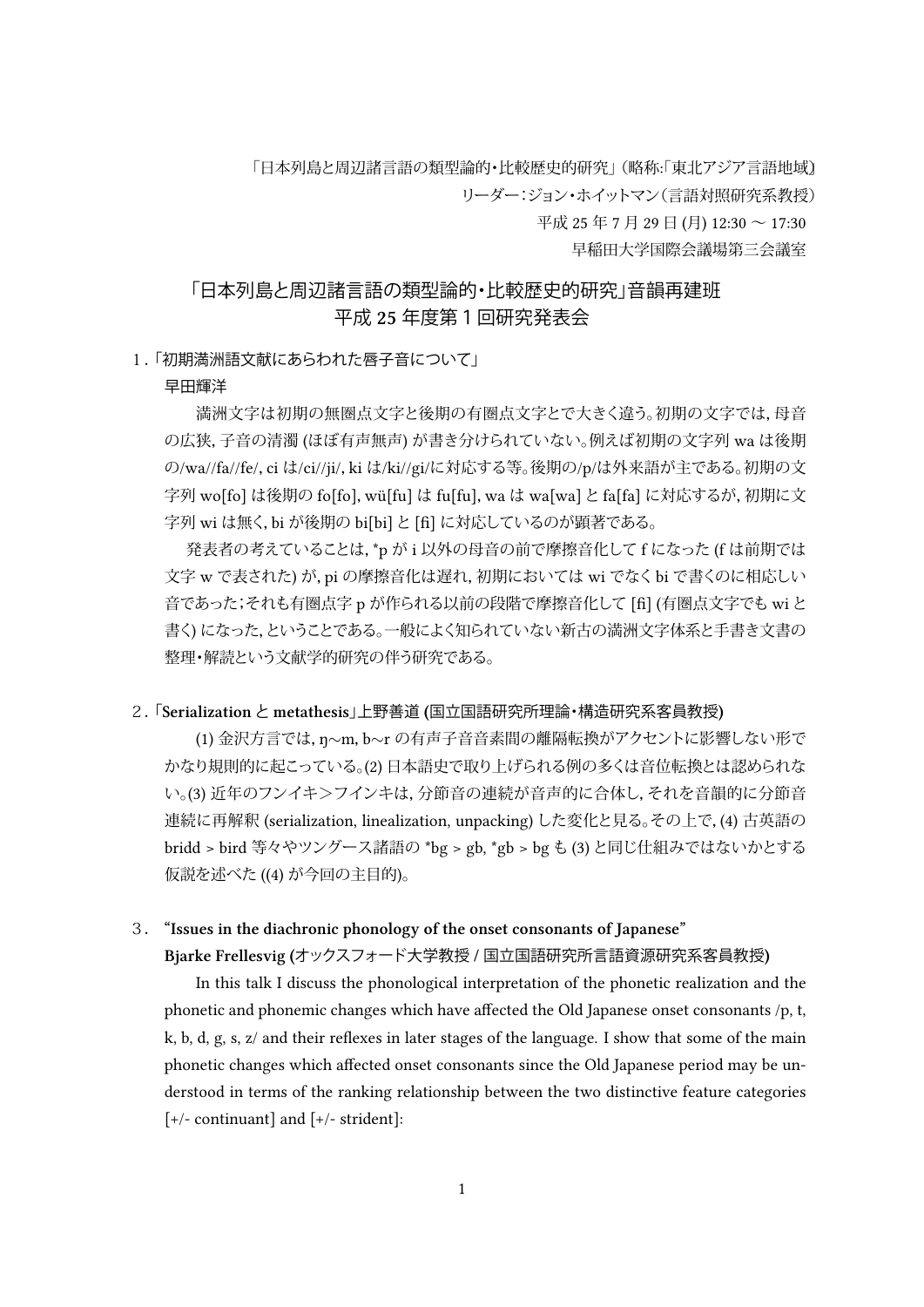「日本列島と周辺諸言語の類型論的・比較歴史的研究」 (略称:「東北アジア言語地域) リーダー:ジョン・ホイットマン(言語対照研究系教授)

平成 25年7月 29日 (月) 12:30 ~ 17:30

早稲田大学国際会議場第三会議室

# 「日本列島と周辺諸言語の類型論的・比較歴史的研究」音韻再建班 平成 **25** 年度第1回研究発表会

### 1.「初期満洲語文献にあらわれた唇子音について」

#### 早田輝洋

満洲文字は初期の無圏点文字と後期の有圏点文字とで大きく違う。初期の文字では,母音 の広狭,子音の清濁 (ほぼ有声無声) が書き分けられていない。例えば初期の文字列 wa は後期 の/wa//fa//fe/,ci は/ci//ji/,ki は/ki//gi/に対応する等。後期の/p/は外来語が主である。初期の文 字列 wo[fo] は後期の fo[fo],wü[fu] は fu[fu],wa は wa[wa]と fa[fa] に対応するが,初期に文 字列 wi は無く,bi が後期の bi[bi]と [fi] に対応しているのが顕著である。

発表者の考えていることは,\*p が i 以外の母音の前で摩擦音化して f になった (f は前期では 文字 w で表された) が,pi の摩擦音化は遅れ,初期においては wi でなくbi で書くのに相応しい 音であった;それも有圏点字 p が作られる以前の段階で摩擦音化して [fi] (有圏点文字でも wiと 書く) になった,ということである。一般によく知られていない新古の満洲文字体系と手書き文書の 整理・解読という文献学的研究の伴う研究である。

#### 2.「**Serialization** と **metathesis**」上野善道 **(**国立国語研究所理論・構造研究系客員教授**)**

(1) 金沢方言では,ŋ*∼*m,b*∼*r の有声子音音素間の離隔転換がアクセントに影響しない形で かなり規則的に起こっている。(2) 日本語史で取り上げられる例の多くは音位転換とは認められな い。(3) 近年のフンイキ>フインキは,分節音の連続が音声的に合体し,それを音韻的に分節音 連続に再解釈 (serialization, linealization, unpacking) した変化と見る。その上で,(4) 古英語の bridd > bird 等々やツングース諸語の \*bg > gb, \*gb > bg も (3) と同じ仕組みではないかとする 仮説を述べた ((4) が今回の主目的)。

## 3. **"Issues in the diaronic phonology of the onset consonants of Japanese"**

#### **Bjarke Frellesvig (**オックスフォード大学教授 **/** 国立国語研究所言語資源研究系客員教授**)**

In this talk I discuss the phonological interpretation of the phonetic realization and the phonetic and phonemic changes which have affected the Old Japanese onset consonants /p, t, k, b, d, g, s, z/ and their reflexes in later stages of the language. I show that some of the main phonetic changes which affected onset consonants since the Old Japanese period may be understood in terms of the ranking relationship between the two distinctive feature categories [+/- continuant] and [+/- strident]: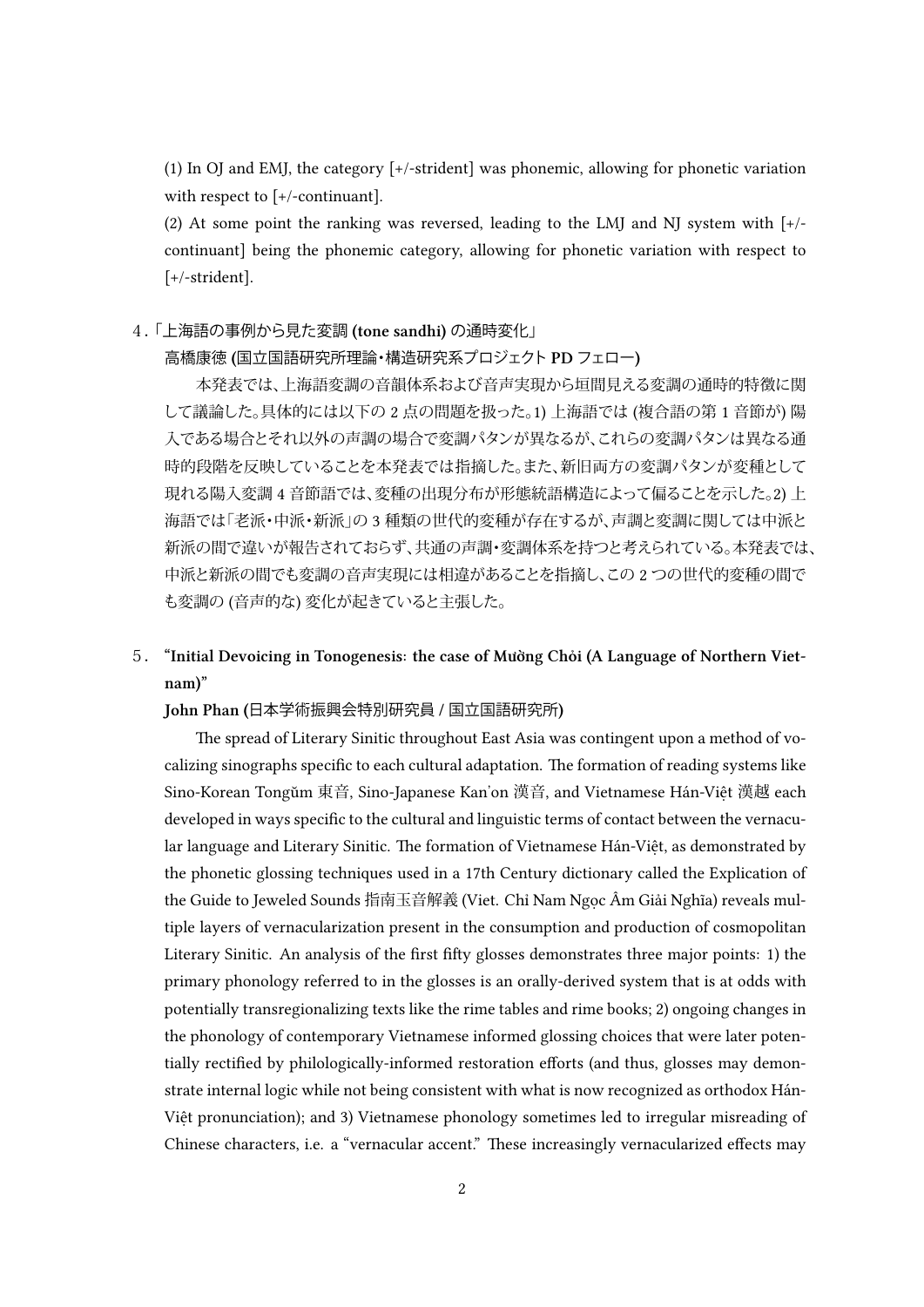(1) In OJ and EMJ, the category [+/-strident] was phonemic, allowing for phonetic variation with respect to [+/-continuant].

(2) At some point the ranking was reversed, leading to the LMJ and NJ system with [+/ continuant] being the phonemic category, allowing for phonetic variation with respect to [+/-strident].

## 4.「上海語の事例から見た変調 **(tone sandhi)** の通時変化」

## 高橋康徳 **(**国立国語研究所理論・構造研究系プロジェクト **PD** フェロー**)**

本発表では、上海語変調の音韻体系および音声実現から垣間見える変調の通時的特徴に関 して議論した。具体的には以下の 2 点の問題を扱った。1) 上海語では (複合語の第 1 音節が) 陽 入である場合とそれ以外の声調の場合で変調パタンが異なるが、これらの変調パタンは異なる通 時的段階を反映していることを本発表では指摘した。また、新旧両方の変調パタンが変種として 現れる陽入変調 4 音節語では、変種の出現分布が形態統語構造によって偏ることを示した。2) 上 海語では「老派・中派・新派」の 3 種類の世代的変種が存在するが、声調と変調に関しては中派と 新派の間で違いが報告されておらず、共通の声調・変調体系を持つと考えられている。本発表では、 中派と新派の間でも変調の音声実現には相違があることを指摘し、この 2 つの世代的変種の間で も変調の (音声的な) 変化が起きていると主張した。

## 5. **"Initial Devoicing in Tonogenesis: the case of Mường Chỏi (A Language of Northern Vietnam)"**

#### **John Phan (**日本学術振興会特別研究員 **/** 国立国語研究所**)**

The spread of Literary Sinitic throughout East Asia was contingent upon a method of vocalizing sinographs specific to each cultural adaptation. The formation of reading systems like Sino-Korean Tongŭm 東音, Sino-Japanese Kan'on 漢音, and Vietnamese Hán-Việt 漢越 each developed in ways specific to the cultural and linguistic terms of contact between the vernacular language and Literary Sinitic. The formation of Vietnamese Hán-Việt, as demonstrated by the phonetic glossing techniques used in a 17th Century dictionary called the Explication of the Guide to Jeweled Sounds 指南玉音解義 (Viet. Chỉ Nam Ngọc Âm Giải Nghĩa) reveals multiple layers of vernacularization present in the consumption and production of cosmopolitan Literary Sinitic. An analysis of the first fiy glosses demonstrates three major points: 1) the primary phonology referred to in the glosses is an orally-derived system that is at odds with potentially transregionalizing texts like the rime tables and rime books; 2) ongoing changes in the phonology of contemporary Vietnamese informed glossing choices that were later potentially rectified by philologically-informed restoration efforts (and thus, glosses may demonstrate internal logic while not being consistent with what is now recognized as orthodox Hán-Việt pronunciation); and 3) Vietnamese phonology sometimes led to irregular misreading of Chinese characters, i.e. a "vernacular accent." These increasingly vernacularized effects may